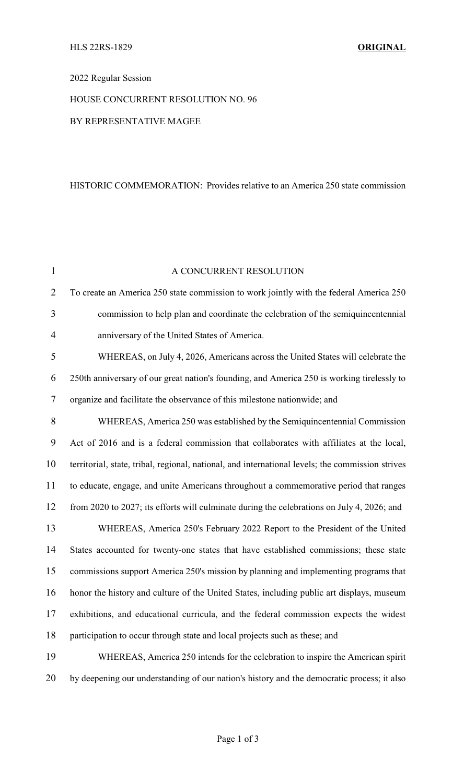# 2022 Regular Session

# HOUSE CONCURRENT RESOLUTION NO. 96

### BY REPRESENTATIVE MAGEE

#### HISTORIC COMMEMORATION: Provides relative to an America 250 state commission

| $\mathbf{1}$   | A CONCURRENT RESOLUTION                                                                          |
|----------------|--------------------------------------------------------------------------------------------------|
| $\overline{2}$ | To create an America 250 state commission to work jointly with the federal America 250           |
| 3              | commission to help plan and coordinate the celebration of the semiquincentennial                 |
| $\overline{4}$ | anniversary of the United States of America.                                                     |
| 5              | WHEREAS, on July 4, 2026, Americans across the United States will celebrate the                  |
| 6              | 250th anniversary of our great nation's founding, and America 250 is working tirelessly to       |
| 7              | organize and facilitate the observance of this milestone nationwide; and                         |
| 8              | WHEREAS, America 250 was established by the Semiquincentennial Commission                        |
| 9              | Act of 2016 and is a federal commission that collaborates with affiliates at the local,          |
| 10             | territorial, state, tribal, regional, national, and international levels; the commission strives |
| 11             | to educate, engage, and unite Americans throughout a commemorative period that ranges            |
| 12             | from 2020 to 2027; its efforts will culminate during the celebrations on July 4, 2026; and       |
| 13             | WHEREAS, America 250's February 2022 Report to the President of the United                       |
| 14             | States accounted for twenty-one states that have established commissions; these state            |
| 15             | commissions support America 250's mission by planning and implementing programs that             |
| 16             | honor the history and culture of the United States, including public art displays, museum        |
| 17             | exhibitions, and educational curricula, and the federal commission expects the widest            |
| 18             | participation to occur through state and local projects such as these; and                       |
| 19             | WHEREAS, America 250 intends for the celebration to inspire the American spirit                  |
| 20             | by deepening our understanding of our nation's history and the democratic process; it also       |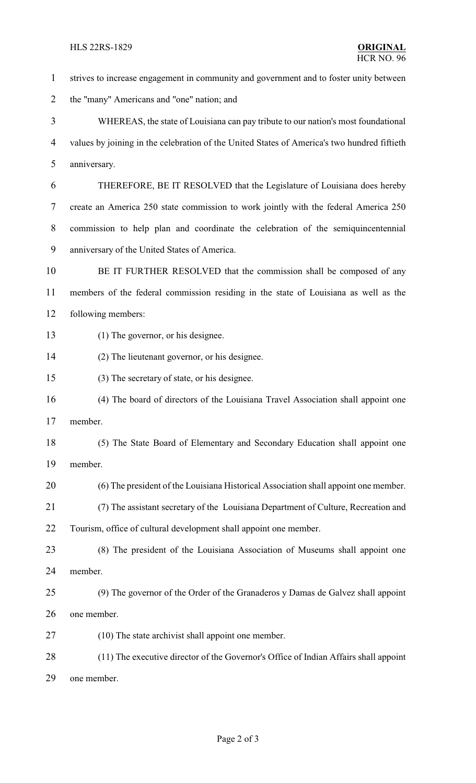strives to increase engagement in community and government and to foster unity between the "many" Americans and "one" nation; and WHEREAS, the state of Louisiana can pay tribute to our nation's most foundational values by joining in the celebration of the United States of America's two hundred fiftieth anniversary. THEREFORE, BE IT RESOLVED that the Legislature of Louisiana does hereby create an America 250 state commission to work jointly with the federal America 250 commission to help plan and coordinate the celebration of the semiquincentennial anniversary of the United States of America. BE IT FURTHER RESOLVED that the commission shall be composed of any members of the federal commission residing in the state of Louisiana as well as the following members: (1) The governor, or his designee. (2) The lieutenant governor, or his designee. (3) The secretary of state, or his designee. (4) The board of directors of the Louisiana Travel Association shall appoint one member. (5) The State Board of Elementary and Secondary Education shall appoint one member. (6) The president of the Louisiana Historical Association shall appoint one member. (7) The assistant secretary of the Louisiana Department of Culture, Recreation and Tourism, office of cultural development shall appoint one member. (8) The president of the Louisiana Association of Museums shall appoint one member. (9) The governor of the Order of the Granaderos y Damas de Galvez shall appoint one member. (10) The state archivist shall appoint one member. (11) The executive director of the Governor's Office of Indian Affairs shall appoint

one member.